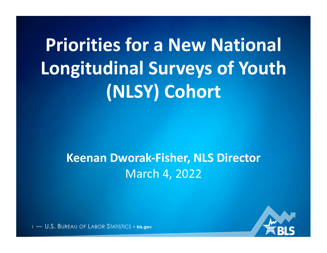# **Priorities for a New National** Longitudinal Surveys of Youth **(NLSY) Cohort**

#### **Keenan Dworak-Fisher, NLS Director** March 4, 2022

1 — U.S. BUREAU OF LABOR STATISTICS • **bls.gov**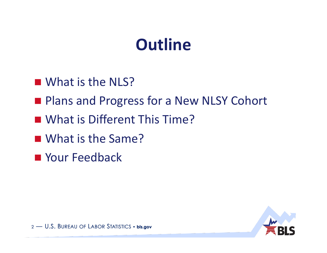### **Outline**

- $\blacksquare$  What is the NLS?
- **Plans and Progress for a New NLSY Cohort**
- **II** What is Different This Time?
- What is the Same?
- **Next Your Feedback**

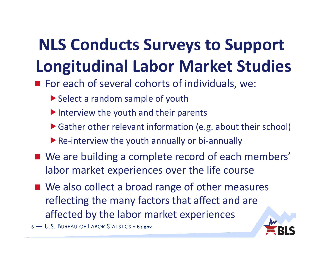# **NLS Conducts Surveys to Support Longitudinal Labor Market Studies**

- $\blacksquare$  For each of several cohorts of individuals, we:
	- $\blacktriangleright$  Select a random sample of youth
	- $\blacktriangleright$  Interview the youth and their parents
	- $\blacktriangleright$  Gather other relevant information (e.g. about their school)
	- $\blacktriangleright$  Re-interview the youth annually or bi-annually
- We are building a complete record of each members' labor market experiences over the life course
- We also collect a broad range of other measures reflecting the many factors that affect and are affected by the labor market experiences

3 - U.S. BUREAU OF LABOR STATISTICS • bls.gov

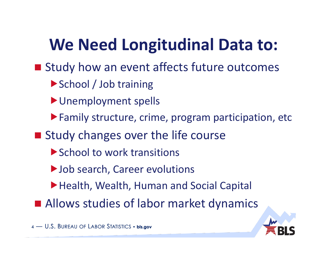# We Need Longitudinal Data to:

- Study how an event affects future outcomes
	- ▶ School / Job training
	- **D**Unemployment spells
	- !Family structure, crime, program participation, etc
- Study changes over the life course
	- ▶ School to work transitions
	- ▶ Job search, Career evolutions
	- ▶ Health, Wealth, Human and Social Capital
- **E** Allows studies of labor market dynamics

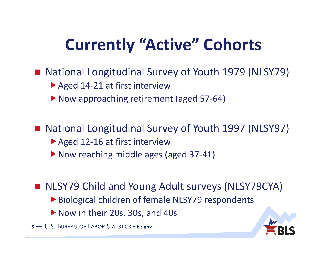## **Currently "Active" Cohorts**

- National Longitudinal Survey of Youth 1979 (NLSY79)
	- $\blacktriangleright$  Aged 14-21 at first interview
	- ▶ Now approaching retirement (aged 57-64)

■ National Longitudinal Survey of Youth 1997 (NLSY97)

- $\blacktriangleright$  Aged 12-16 at first interview
- ▶ Now reaching middle ages (aged 37-41)

■ NLSY79 Child and Young Adult surveys (NLSY79CYA)

- ▶ Biological children of female NLSY79 respondents
- ▶ Now in their 20s, 30s, and 40s

5 - U.S. BUREAU OF LABOR STATISTICS · bls.gov

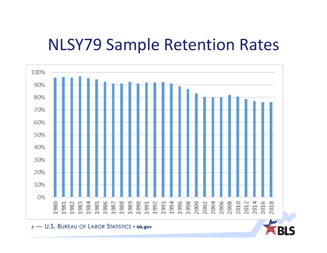#### **NLSY79 Sample Retention Rates**



6 — U.S. BUREAU OF LABOR STATISTICS • bls.gov

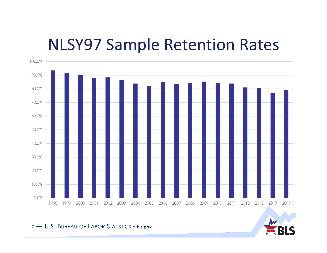#### **NLSY97 Sample Retention Rates**



#### 7 - U.S. BUREAU OF LABOR STATISTICS · bls.gov

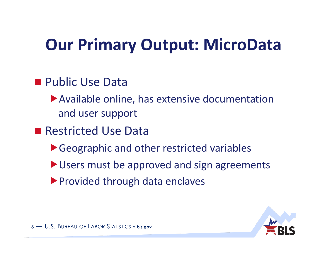## **Our Primary Output: MicroData**

#### **Public Use Data**

- $\blacktriangleright$  Available online, has extensive documentation and user support
- Restricted Use Data
	- ▶ Geographic and other restricted variables
	- $\blacktriangleright$  Users must be approved and sign agreements
	- ▶ Provided through data enclaves

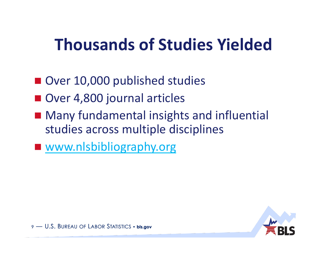### **Thousands of Studies Yielded**

- Over 10,000 published studies
- **Over 4,800 journal articles**
- Many fundamental insights and influential studies across multiple disciplines
- www.nlsbibliography.org



9 - U.S. BUREAU OF LABOR STATISTICS • bls.gov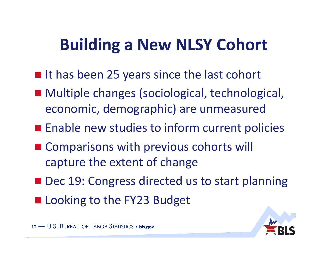## **Building a New NLSY Cohort**

- It has been 25 years since the last cohort
- Multiple changes (sociological, technological, economic, demographic) are unmeasured
- **Example Figure 20 Indian Enable new studies to inform current policies**
- **EX Comparisons with previous cohorts will** capture the extent of change
- Dec 19: Congress directed us to start planning
- Looking to the FY23 Budget



10 - U.S. BUREAU OF LABOR STATISTICS · bls.gov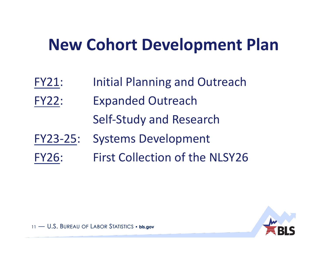### **New Cohort Development Plan**

- FY21: Initial Planning and Outreach
- FY22: Expanded Outreach Self-Study and Research
- FY23-25: Systems Development
- FY26: First Collection of the NLSY26

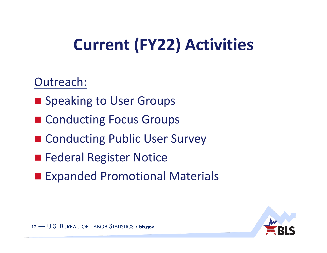# **Current (FY22) Activities**

#### Outreach:

- Speaking to User Groups
- Conducting Focus Groups
- Conducting Public User Survey
- **Exercial Register Notice**
- **Expanded Promotional Materials**

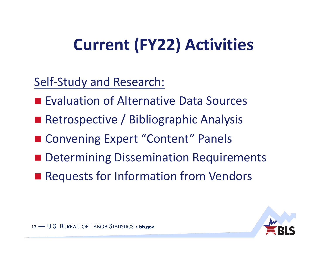# **Current (FY22) Activities**

Self-Study and Research:

- Evaluation of Alternative Data Sources
- Retrospective / Bibliographic Analysis
- Convening Expert "Content" Panels
- **n** Determining Dissemination Requirements
- Requests for Information from Vendors

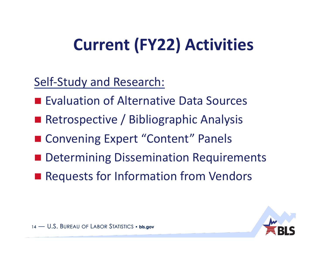# **Current (FY22) Activities**

Self-Study and Research:

- Evaluation of Alternative Data Sources
- Retrospective / Bibliographic Analysis
- Convening Expert "Content" Panels
- **n** Determining Dissemination Requirements
- Requests for Information from Vendors

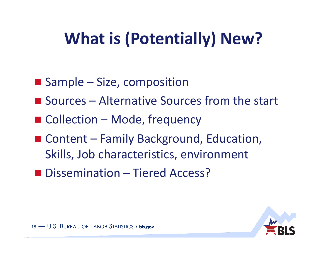# **What is (Potentially) New?**

- $\blacksquare$  Sample Size, composition
- $\blacksquare$  Sources Alternative Sources from the start
- Collection Mode, frequency
- Content Family Background, Education, Skills, Job characteristics, environment
- **Dissemination** Tiered Access?

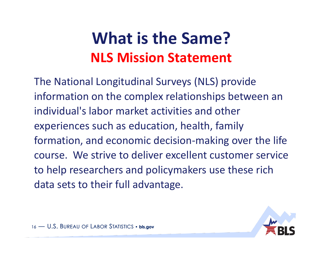#### **What is the Same? NLS Mission Statement**

The National Longitudinal Surveys (NLS) provide information on the complex relationships between an individual's labor market activities and other experiences such as education, health, family formation, and economic decision-making over the life course. We strive to deliver excellent customer service to help researchers and policymakers use these rich data sets to their full advantage.

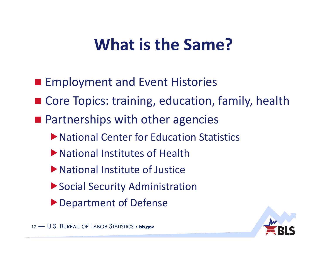### **What is the Same?**

- **Examployment and Event Histories**
- Core Topics: training, education, family, health
- $\blacksquare$  Partnerships with other agencies
	- ▶ National Center for Education Statistics
	- lacktrianal Institutes of Health
	- $\blacktriangleright$  National Institute of Justice
	- ▶ Social Security Administration
	- **Department of Defense**